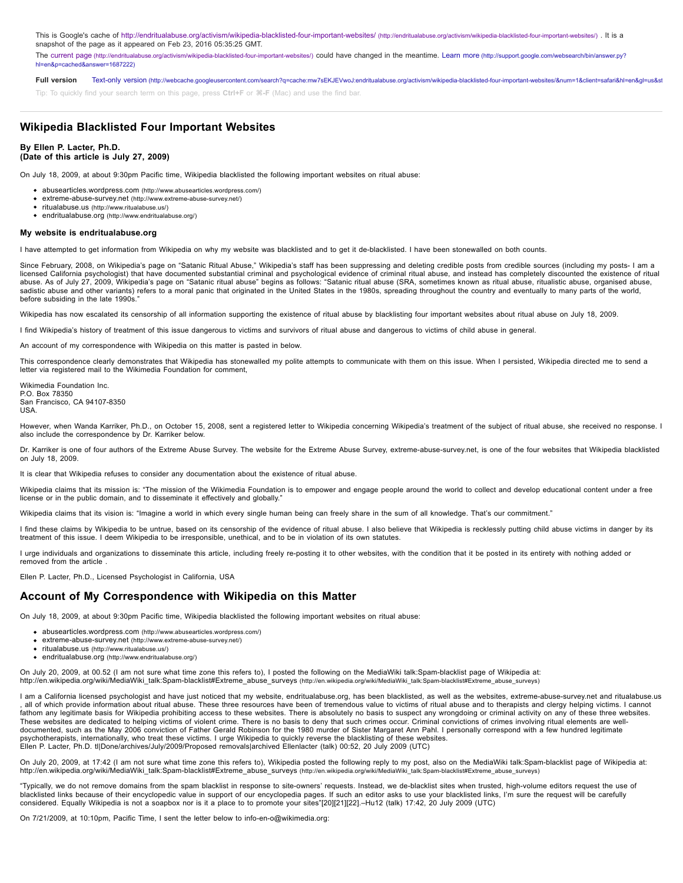This is Google's cache of http://endritualabuse.org/activism/wikipedia-blacklisted-four-important-websites/ (http://endritualabuse.org/activism/wikipedia-blacklisted-four-important-websites/). It is a snapshot of the page as it appeared on Feb 23, 2016 05:35:25 GMT.

[The c](http://support.google.com/websearch/bin/answer.py?hl=en&p=cached&answer=1687222)[urrent page \(http://endritualabuse.org/activism/wikipedia-blacklisted-four-important-websites/\)](http://endritualabuse.org/activism/wikipedia-blacklisted-four-important-websites/) [could have changed in the meantime. Learn more \(http://support.google.com/websearch/bin/answer.py?](http://support.google.com/websearch/bin/answer.py?hl=en&p=cached&answer=1687222) hl=en&p=cached&answer=1687222)

Full version Text-only version (http://webcache.googleusercontent.com/search?q=cache:mw7sEKJEVwoJ:endritualabuse.org/activism/wikipedia-blacklisted-four-important-websites/&num=1&client=safari&hl=en&ql=us&st

Tip: To quickly find your search term on this page, press **Ctrl+F** or **⌘-F** (Mac) and use the find bar.

# **Wikipedia Blacklisted Four Important Websites**

### **By Ellen P. Lacter, Ph.D. (Date of this article is July 27, 2009)**

On July 18, 2009, at about 9:30pm Pacific time, Wikipedia blacklisted the following important websites on ritual abuse:

- [abusearticles.wordpress.com \(http://www.abusearticles.wordpress.com/\)](http://www.abusearticles.wordpress.com/)
- [extreme-abuse-survey.net \(http://www.extreme-abuse-survey.net/\)](http://www.extreme-abuse-survey.net/) [ritualabuse.us \(http://www.ritualabuse.us/\)](http://www.ritualabuse.us/)
- [endritualabuse.org \(http://www.endritualabuse.org/\)](http://www.endritualabuse.org/)

### **My website is endritualabuse.org**

I have attempted to get information from Wikipedia on why my website was blacklisted and to get it de-blacklisted. I have been stonewalled on both counts

Since February, 2008, on Wikipedia's page on "Satanic Ritual Abuse," Wikipedia's staff has been suppressing and deleting credible posts from credible sources (including my posts- I am a licensed California psychologist) that have documented substantial criminal and psychological evidence of criminal ritual abuse, and instead has completely discounted the existence of ritual<br>abuse. As of July 27, 2009, Wik sadistic abuse and other variants) refers to a moral panic that originated in the United States in the 1980s, spreading throughout the country and eventually to many parts of the world, before subsiding in the late 1990s.

Wikipedia has now escalated its censorship of all information supporting the existence of ritual abuse by blacklisting four important websites about ritual abuse on July 18, 2009.

I find Wikipedia's history of treatment of this issue dangerous to victims and survivors of ritual abuse and dangerous to victims of child abuse in general.

An account of my correspondence with Wikipedia on this matter is pasted in below.

This correspondence clearly demonstrates that Wikipedia has stonewalled my polite attempts to communicate with them on this issue. When I persisted, Wikipedia directed me to send a letter via registered mail to the Wikimedia Foundation for comment,

Wikimedia Foundation Inc. P.O. Box 78350 San Francisco, CA 94107-8350 USA.

However, when Wanda Karriker, Ph.D., on October 15, 2008, sent a registered letter to Wikipedia concerning Wikipedia's treatment of the subject of ritual abuse, she received no response. I also include the correspondence by Dr. Karriker below.

Dr. Karriker is one of four authors of the Extreme Abuse Survey. The website for the Extreme Abuse Survey, extreme-abuse-survey.net, is one of the four websites that Wikipedia blacklisted on July 18, 2009.

It is clear that Wikipedia refuses to consider any documentation about the existence of ritual abuse.

Wikipedia claims that its mission is: "The mission of the Wikimedia Foundation is to empower and engage people around the world to collect and develop educational content under a free license or in the public domain, and to disseminate it effectively and globally."

Wikipedia claims that its vision is: "Imagine a world in which every single human being can freely share in the sum of all knowledge. That's our commitment."

I find these claims by Wikipedia to be untrue, based on its censorship of the evidence of ritual abuse. I also believe that Wikipedia is recklessly putting child abuse victims in danger by its treatment of this issue. I deem Wikipedia to be irresponsible, unethical, and to be in violation of its own statutes.

I urge individuals and organizations to disseminate this article, including freely re-posting it to other websites, with the condition that it be posted in its entirety with nothing added or removed from the article .

Ellen P. Lacter, Ph.D., Licensed Psychologist in California, USA

## **Account of My Correspondence with Wikipedia on this Matter**

On July 18, 2009, at about 9:30pm Pacific time, Wikipedia blacklisted the following important websites on ritual abuse:

- [abusearticles.wordpress.com \(http://www.abusearticles.wordpress.com/\)](http://www.abusearticles.wordpress.com/)
- [extreme-abuse-survey.net \(http://www.extreme-abuse-survey.net/\)](http://www.extreme-abuse-survey.net/)
- [ritualabuse.us \(http://www.ritualabuse.us/\)](http://www.ritualabuse.us/)
- [endritualabuse.org \(http://www.endritualabuse.org/\)](http://www.endritualabuse.org/)

On July 20, 2009, at 00.52 (I am not sure what time zone this refers to), I posted the following on the MediaWiki talk:Spam-blacklist page of Wikipedia at: [http://en.wikipedia.org/wiki/MediaWiki\\_talk:Spam-blacklist#Extreme\\_abuse\\_surveys \(http://en.wikipedia.org/wiki/MediaWiki\\_talk:Spam-blacklist#Extreme\\_abuse\\_surveys\)](http://en.wikipedia.org/wiki/MediaWiki_talk:Spam-blacklist#Extreme_abuse_surveys)

I am a California licensed psychologist and have just noticed that my website, endritualabuse.org, has been blacklisted, as well as the websites, extreme-abuse-survey.net and ritualabuse.us , all of which provide information about ritual abuse. These three resources have been of tremendous value to victims of ritual abuse and to therapists and clergy helping victims. I cannot fathom any legitimate basis for Wikipedia prohibiting access to these websites. There is absolutely no basis to suspect any wrongdoing or criminal activity on any of these three websites. These websites are dedicated to helping victims of violent crime. There is no basis to deny that such crimes occur. Criminal convictions of crimes involving ritual elements are welldocumented, such as the May 2006 conviction of Father Gerald Robinson for the 1980 murder of Sister Margaret Ann Pahl. I personally correspond with a few hundred legitimate psychotherapists, internationally, who treat these victims. I urge Wikipedia to quickly reverse the blacklisting of these websites. Ellen P. Lacter, Ph.D. tl|Done/archives/July/2009/Proposed removals|archived Ellenlacter (talk) 00:52, 20 July 2009 (UTC)

On July 20, 2009, at 17:42 (I am not sure what time zone this refers to), Wikipedia posted the following reply to my post, also on the MediaWiki talk:Spam-blacklist page of Wikipedia at: [http://en.wikipedia.org/wiki/MediaWiki\\_talk:Spam-blacklist#Extreme\\_abuse\\_surveys \(http://en.wikipedia.org/wiki/MediaWiki\\_talk:Spam-blacklist#Extreme\\_abuse\\_surveys\)](http://en.wikipedia.org/wiki/MediaWiki_talk:Spam-blacklist#Extreme_abuse_surveys)

"Typically, we do not remove domains from the spam blacklist in response to site-owners' requests. Instead, we de-blacklist sites when trusted, high-volume editors request the use of blacklisted links because of their encyclopedic value in support of our encyclopedia pages. If such an editor asks to use your blacklisted links, I'm sure the request will be carefully considered. Equally Wikipedia is not a soapbox nor is it a place to to promote your sites"[20][21][22].–Hu12 (talk) 17:42, 20 July 2009 (UTC)

On 7/21/2009, at 10:10pm, Pacific Time, I sent the letter below to info-en-o@wikimedia.org: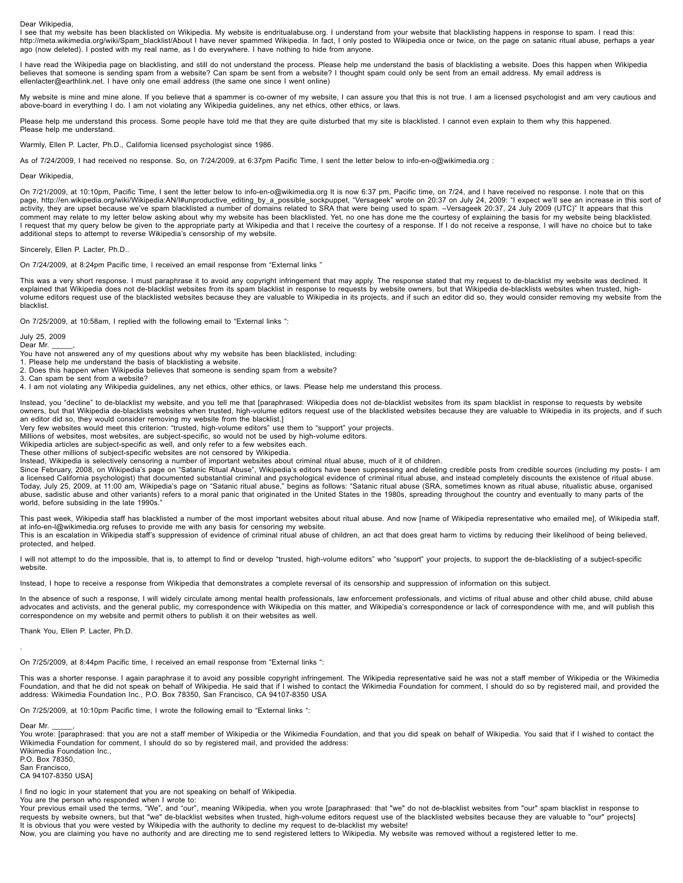Dear Wikipedia,

I see that my website has been blacklisted on Wikipedia. My website is endritualabuse.org. I understand from your website that blacklisting happens in response to spam. I read this: http://meta.wikimedia.org/wiki/Spam\_blacklist/About I have never spammed Wikipedia. In fact, I only posted to Wikipedia once or twice, on the page on satanic ritual abuse, perhaps a year ago (now deleted). I posted with my real name, as I do everywhere. I have nothing to hide from anyone.

I have read the Wikipedia page on blacklisting, and still do not understand the process. Please help me understand the basis of blacklisting a website. Does this happen when Wikipedia believes that someone is sending spam from a website? Can spam be sent from a website? I thought spam could only be sent from an email address. My email address is ellenlacter@earthlink.net. I have only one email address (the same one since I went online)

My website is mine and mine alone. If you believe that a spammer is co-owner of my website, I can assure you that this is not true. I am a licensed psychologist and am very cautious and above-board in everything I do. I am not violating any Wikipedia guidelines, any net ethics, other ethics, or laws.

Please help me understand this process. Some people have told me that they are quite disturbed that my site is blacklisted. I cannot even explain to them why this happened. Please help me understand.

Warmly, Ellen P. Lacter, Ph.D., California licensed psychologist since 1986.

As of 7/24/2009, I had received no response. So, on 7/24/2009, at 6:37pm Pacific Time, I sent the letter below to info-en-o@wikimedia.org :

Dear Wikipedia,

On 7/21/2009, at 10:10pm, Pacific Time, I sent the letter below to info-en-o@wikimedia.org It is now 6:37 pm, Pacific time, on 7/24, and I have received no response. I note that on this page, http://en.wikipedia.org/wiki/Wikipedia:AN/I#unproductive\_editing\_by\_a\_possible\_sockpuppet, "Versageek" wrote on 20:37 on July 24, 2009: "I expect we'll see an increase in this sort of activity, they are upset because we've spam blacklisted a number of domains related to SRA that were being used to spam. –Versageek 20:37, 24 July 2009 (UTC)" It appears that this comment may relate to my letter below asking about why my website has been blacklisted. Yet, no one has done me the courtesy of explaining the basis for my website being blacklisted. I request that my query below be given to the appropriate party at Wikipedia and that I receive the courtesy of a response. If I do not receive a response, I will have no choice but to take additional steps to attempt to reverse Wikipedia's censorship of my website.

Sincerely, Ellen P. Lacter, Ph.D..

On 7/24/2009, at 8:24pm Pacific time, I received an email response from "External links "

This was a very short response. I must paraphrase it to avoid any copyright infringement that may apply. The response stated that my request to de-blacklist my website was declined. It explained that Wikipedia does not de-blacklist websites from its spam blacklist in response to requests by website owners, but that Wikipedia de-blacklists websites when trusted, highvolume editors request use of the blacklisted websites because they are valuable to Wikipedia in its projects, and if such an editor did so, they would consider removing my website from the blacklist.

On 7/25/2009, at 10:58am, I replied with the following email to "External links ":

July 25, 2009

Dear Mr.

You have not answered any of my questions about why my website has been blacklisted, including:

1. Please help me understand the basis of blacklisting a website.

2. Does this happen when Wikipedia believes that someone is sending spam from a website?

3. Can spam be sent from a website?

4. I am not violating any Wikipedia guidelines, any net ethics, other ethics, or laws. Please help me understand this process.

Instead, you "decline" to de-blacklist my website, and you tell me that [paraphrased: Wikipedia does not de-blacklist websites from its spam blacklist in response to requests by website owners, but that Wikipedia de-blacklists websites when trusted, high-volume editors request use of the blacklisted websites because they are valuable to Wikipedia in its projects, and if such an editor did so, they would consider removing my website from the blacklist.]

Very few websites would meet this criterion: "trusted, high-volume editors" use them to "support" your projects.

Millions of websites, most websites, are subject-specific, so would not be used by high-volume editors.

Wikipedia articles are subject-specific as well, and only refer to a few websites each. These other millions of subject-specific websites are not censored by Wikipedia.

Instead, Wikipedia is selectively censoring a number of important websites about criminal ritual abuse, much of it of children.

Since February, 2008, on Wikipedia's page on "Satanic Ritual Abuse", Wikipedia's editors have been suppressing and deleting credible posts from credible sources (including my posts- I am a licensed California psychologist) that documented substantial criminal and psychological evidence of criminal ritual abuse, and instead completely discounts the existence of ritual abuse.<br>Today, July 25, 2009, at 11:00 a abuse, sadistic abuse and other variants) refers to a moral panic that originated in the United States in the 1980s, spreading throughout the country and eventually to many parts of the world, before subsiding in the late 1990s.

This past week, Wikipedia staff has blacklisted a number of the most important websites about ritual abuse. And now [name of Wikipedia representative who emailed me], of Wikipedia staff, at info-en-l@wikimedia.org refuses to provide me with any basis for censoring my website.

This is an escalation in Wikipedia staff's suppression of evidence of criminal ritual abuse of children, an act that does great harm to victims by reducing their likelihood of being believed, protected, and helped.

I will not attempt to do the impossible, that is, to attempt to find or develop "trusted, high-volume editors" who "support" your projects, to support the de-blacklisting of a subject-specific website.

Instead, I hope to receive a response from Wikipedia that demonstrates a complete reversal of its censorship and suppression of information on this subject.

In the absence of such a response, I will widely circulate among mental health professionals, law enforcement professionals, and victims of ritual abuse and other child abuse, child abuse advocates and activists, and the general public, my correspondence with Wikipedia on this matter, and Wikipedia's correspondence or lack of correspondence with me, and will publish this correspondence on my website and permit others to publish it on their websites as well.

Thank You, Ellen P. Lacter, Ph.D.

On 7/25/2009, at 8:44pm Pacific time, I received an email response from "External links ":

This was a shorter response. I again paraphrase it to avoid any possible copyright infringement. The Wikipedia representative said he was not a staff member of Wikipedia or the Wikimedia<br>Foundation, and that he did not spe address: Wikimedia Foundation Inc., P.O. Box 78350, San Francisco, CA 94107-8350 USA

On 7/25/2009, at 10:10pm Pacific time, I wrote the following email to "External links ":

Dear Mr.

.

You wrote: [paraphrased: that you are not a staff member of Wikipedia or the Wikimedia Foundation, and that you did speak on behalf of Wikipedia. You said that if I wished to contact the Wikimedia Foundation for comment, I should do so by registered mail, and provided the address: Wikimedia Foundation Inc.,

P.O. Box 78350, San Francisco,

CA 94107-8350 USA]

I find no logic in your statement that you are not speaking on behalf of Wikipedia.

You are the person who responded when I wrote to:

Your previous email used the terms, "We", and "our", meaning Wikipedia, when you wrote [paraphrased: that "we" do not de-blacklist websites from "our" spam blacklist in response to<br>requests by website owners, but that "we" It is obvious that you were vested by Wikipedia with the authority to decline my request to de-blacklist my website!

Now, you are claiming you have no authority and are directing me to send registered letters to Wikipedia. My website was removed without a registered letter to me.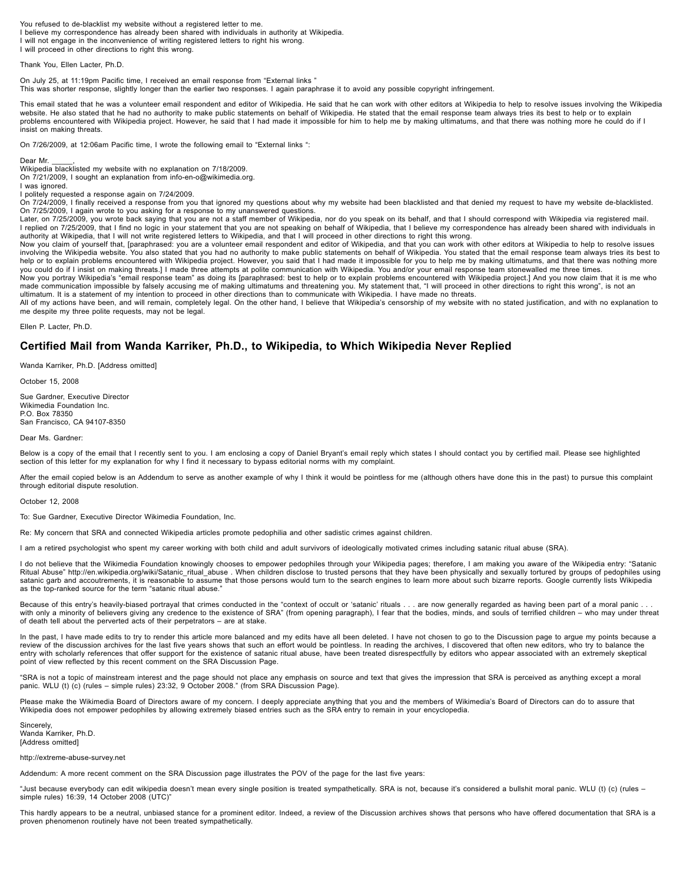You refused to de-blacklist my website without a registered letter to me. I believe my correspondence has already been shared with individuals in authority at Wikipedia. I will not engage in the inconvenience of writing registered letters to right his wrong. I will proceed in other directions to right this wrong.

Thank You, Ellen Lacter, Ph.D.

On July 25, at 11:19pm Pacific time, I received an email response from "External links " This was shorter response, slightly longer than the earlier two responses. I again paraphrase it to avoid any possible copyright infringement.

This email stated that he was a volunteer email respondent and editor of Wikipedia. He said that he can work with other editors at Wikipedia to help to resolve issues involving the Wikipedia website. He also stated that he had no authority to make public statements on behalf of Wikipedia. He stated that the email response team always tries its best to help or to explain problems encountered with Wikipedia project. However, he said that I had made it impossible for him to help me by making ultimatums, and that there was nothing more he could do if I insist on making threats.

On 7/26/2009, at 12:06am Pacific time, I wrote the following email to "External links ":

#### Dear Mr.

Wikipedia blacklisted my website with no explanation on 7/18/2009. On 7/21/2009, I sought an explanation from info-en-o@wikimedia.org.

I was ignored.

I politely requested a response again on 7/24/2009.

On 7/24/2009, I finally received a response from you that ignored my questions about why my website had been blacklisted and that denied my request to have my website de-blacklisted. On 7/25/2009, I again wrote to you asking for a response to my unanswered questions.

Later, on 7/25/2009, you wrote back saying that you are not a staff member of Wikipedia, nor do you speak on its behalf, and that I should correspond with Wikipedia via registered mail.<br>I replied on 7/25/2009, that I find authority at Wikipedia, that I will not write registered letters to Wikipedia, and that I will proceed in other directions to right this wrong.

Now you claim of yourself that, [paraphrased: you are a volunteer email respondent and editor of Wikipedia, and that you can work with other editors at Wikipedia to help to resolve issues involving the Wikipedia website. You also stated that you had no authority to make public statements on behalf of Wikipedia. You stated that the email response team always tries its best to help or to explain problems encountered with Wikipedia project. However, you said that I had made it impossible for you to help me by making ultimatums, and that there was nothing more you could do if I insist on making threats.] I made three attempts at polite communication with Wikipedia. You and/or your email response team stonewalled me three times.

Now you portray Wikipedia's "email response team" as doing its [paraphrased: best to help or to explain problems encountered with Wikipedia project.] And you now claim that it is me who made communication impossible by falsely accusing me of making ultimatums and threatening you. My statement that, "I will proceed in other directions to right this wrong", is not an ultimatum. It is a statement of my intention to proceed in other directions than to communicate with Wikipedia. I have made no threats.

All of my actions have been, and will remain, completely legal. On the other hand, I believe that Wikipedia's censorship of my website with no stated justification, and with no explanation to me despite my three polite requests, may not be legal.

Ellen P. Lacter, Ph.D.

# **Certified Mail from Wanda Karriker, Ph.D., to Wikipedia, to Which Wikipedia Never Replied**

Wanda Karriker, Ph.D. [Address omitted]

October 15, 2008

Sue Gardner, Executive Director Wikimedia Foundation Inc. P.O. Box 78350

# San Francisco, CA 94107-8350

Dear Ms. Gardner:

Below is a copy of the email that I recently sent to you. I am enclosing a copy of Daniel Bryant's email reply which states I should contact you by certified mail. Please see highlighted section of this letter for my explanation for why I find it necessary to bypass editorial norms with my complaint.

After the email copied below is an Addendum to serve as another example of why I think it would be pointless for me (although others have done this in the past) to pursue this complaint through editorial dispute resolution.

#### October 12, 2008

To: Sue Gardner, Executive Director Wikimedia Foundation, Inc.

Re: My concern that SRA and connected Wikipedia articles promote pedophilia and other sadistic crimes against children.

I am a retired psychologist who spent my career working with both child and adult survivors of ideologically motivated crimes including satanic ritual abuse (SRA).

I do not believe that the Wikimedia Foundation knowingly chooses to empower pedophiles through your Wikipedia pages; therefore, I am making you aware of the Wikipedia entry: "Satanic Ritual Abuse" http://en.wikipedia.org/wiki/Satanic\_ritual\_abuse . When children disclose to trusted persons that they have been physically and sexually tortured by groups of pedophiles using satanic garb and accoutrements, it is reasonable to assume that those persons would turn to the search engines to learn more about such bizarre reports. Google currently lists Wikipedia as the top-ranked source for the term "satanic ritual abuse.

Because of this entry's heavily-biased portrayal that crimes conducted in the "context of occult or 'satanic' rituals . . . are now generally regarded as having been part of a moral panic . with only a minority of believers giving any credence to the existence of SRA" (from opening paragraph), I fear that the bodies, minds, and souls of terrified children – who may under threat of death tell about the perverted acts of their perpetrators – are at stake.

In the past, I have made edits to try to render this article more balanced and my edits have all been deleted. I have not chosen to go to the Discussion page to argue my points because a review of the discussion archives for the last five years shows that such an effort would be pointless. In reading the archives, I discovered that often new editors, who try to balance the entry with scholarly references that offer support for the existence of satanic ritual abuse, have been treated disrespectfully by editors who appear associated with an extremely skeptical point of view reflected by this recent comment on the SRA Discussion Page.

"SRA is not a topic of mainstream interest and the page should not place any emphasis on source and text that gives the impression that SRA is perceived as anything except a moral panic. WLU (t) (c) (rules – simple rules) 23:32, 9 October 2008." (from SRA Discussion Page).

Please make the Wikimedia Board of Directors aware of my concern. I deeply appreciate anything that you and the members of Wikimedia's Board of Directors can do to assure that Wikipedia does not empower pedophiles by allowing extremely biased entries such as the SRA entry to remain in your encyclopedia.

**Sincerely** Wanda Karriker, Ph.D. [Address omitted]

#### http://extreme-abuse-survey.net

Addendum: A more recent comment on the SRA Discussion page illustrates the POV of the page for the last five years:

"Just because everybody can edit wikipedia doesn't mean every single position is treated sympathetically. SRA is not, because it's considered a bullshit moral panic. WLU (t) (c) (rules – simple rules) 16:39, 14 October 2008 (UTC)"

This hardly appears to be a neutral, unbiased stance for a prominent editor. Indeed, a review of the Discussion archives shows that persons who have offered documentation that SRA is a proven phenomenon routinely have not been treated sympathetically.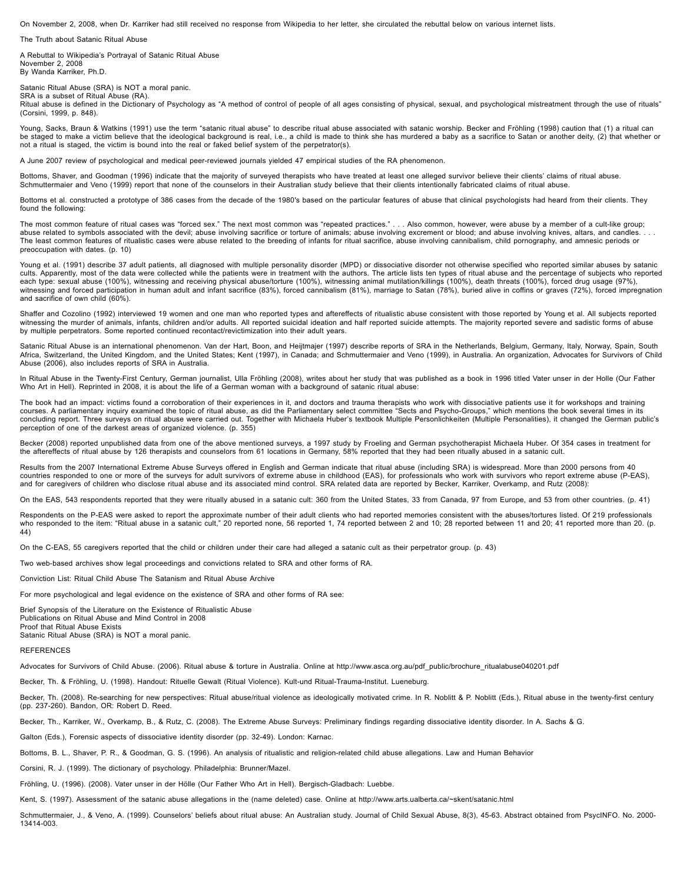On November 2, 2008, when Dr. Karriker had still received no response from Wikipedia to her letter, she circulated the rebuttal below on various internet lists.

The Truth about Satanic Ritual Abuse

A Rebuttal to Wikipedia's Portrayal of Satanic Ritual Abuse November 2, 2008 By Wanda Karriker, Ph.D.

Satanic Ritual Abuse (SRA) is NOT a moral panic. SRA is a subset of Ritual Abuse (RA).

Ritual abuse is defined in the Dictionary of Psychology as "A method of control of people of all ages consisting of physical, sexual, and psychological mistreatment through the use of rituals" (Corsini, 1999, p. 848).

Young, Sacks, Braun & Watkins (1991) use the term "satanic ritual abuse" to describe ritual abuse associated with satanic worship. Becker and Fröhling (1998) caution that (1) a ritual can be staged to make a victim believe that the ideological background is real, i.e., a child is made to think she has murdered a baby as a sacrifice to Satan or another deity, (2) that whether or not a ritual is staged, the victim is bound into the real or faked belief system of the perpetrator(s).

A June 2007 review of psychological and medical peer-reviewed journals yielded 47 empirical studies of the RA phenomenon.

Bottoms, Shaver, and Goodman (1996) indicate that the majority of surveyed therapists who have treated at least one alleged survivor believe their clients' claims of ritual abuse. Schmuttermaier and Veno (1999) report that none of the counselors in their Australian study believe that their clients intentionally fabricated claims of ritual abuse.

Bottoms et al. constructed a prototype of 386 cases from the decade of the 1980′s based on the particular features of abuse that clinical psychologists had heard from their clients. They found the following:

The most common feature of ritual cases was "forced sex." The next most common was "repeated practices." . . . Also common, however, were abuse by a member of a cult-like group; abuse related to symbols associated with the devil; abuse involving sacrifice or torture of animals; abuse involving excrement or blood; and abuse involving knives, altars, and candles. . . The least common features of ritualistic cases were abuse related to the breeding of infants for ritual sacrifice, abuse involving cannibalism, child pornography, and amnesic periods or preoccupation with dates. (p. 10)

Young et al. (1991) describe 37 adult patients, all diagnosed with multiple personality disorder (MPD) or dissociative disorder not otherwise specified who reported similar abuses by satanic cults. Apparently, most of the data were collected while the patients were in treatment with the authors. The article lists ten types of ritual abuse and the percentage of subjects who reported each type: sexual abuse (100%), witnessing and receiving physical abuse/torture (100%), witnessing animal mutilation/killings (100%), death threats (100%), forced drug usage (97%), witnessing and forced participation in human adult and infant sacrifice (83%), forced cannibalism (81%), marriage to Satan (78%), buried alive in coffins or graves (72%), forced impregnation and sacrifice of own child (60%).

Shaffer and Cozolino (1992) interviewed 19 women and one man who reported types and aftereffects of ritualistic abuse consistent with those reported by Young et al. All subjects reported witnessing the murder of animals, infants, children and/or adults. All reported suicidal ideation and half reported suicide attempts. The majority reported severe and sadistic forms of abuse by multiple perpetrators. Some reported continued recontact/revictimization into their adult years.

Satanic Ritual Abuse is an international phenomenon. Van der Hart, Boon, and Heijtmajer (1997) describe reports of SRA in the Netherlands, Belgium, Germany, Italy, Norway, Spain, South Africa, Switzerland, the United Kingdom, and the United States; Kent (1997), in Canada; and Schmuttermaier and Veno (1999), in Australia. An organization, Advocates for Survivors of Child<br>Abuse (2006), also includes report

In Ritual Abuse in the Twenty-First Century, German journalist, Ulla Fröhling (2008), writes about her study that was published as a book in 1996 titled Vater unser in der Holle (Our Father Who Art in Hell). Reprinted in 2008, it is about the life of a German woman with a background of satanic ritual abuse

The book had an impact: victims found a corroboration of their experiences in it, and doctors and trauma therapists who work with dissociative patients use it for workshops and training<br>courses. A parliamentary inquiry exa concluding report. Three surveys on ritual abuse were carried out. Together with Michaela Huber's textbook Multiple Personlichkeiten (Multiple Personalities), it changed the German public's perception of one of the darkest areas of organized violence. (p. 355)

Becker (2008) reported unpublished data from one of the above mentioned surveys, a 1997 study by Froeling and German psychotherapist Michaela Huber. Of 354 cases in treatment for the aftereffects of ritual abuse by 126 therapists and counselors from 61 locations in Germany, 58% reported that they had been ritually abused in a satanic cult.

Results from the 2007 International Extreme Abuse Surveys offered in English and German indicate that ritual abuse (including SRA) is widespread. More than 2000 persons from 40 countries responded to one or more of the surveys for adult survivors of extreme abuse in childhood (EAS), for professionals who work with survivors who report extreme abuse (P-EAS), and for caregivers of children who disclose ritual abuse and its associated mind control. SRA related data are reported by Becker, Karriker, Overkamp, and Rutz (2008):

On the EAS, 543 respondents reported that they were ritually abused in a satanic cult: 360 from the United States, 33 from Canada, 97 from Europe, and 53 from other countries. (p. 41)

Respondents on the P-EAS were asked to report the approximate number of their adult clients who had reported memories consistent with the abuses/tortures listed. Of 219 professionals who responded to the item: "Ritual abuse in a satanic cult," 20 reported none, 56 reported 1, 74 reported between 2 and 10; 28 reported between 11 and 20; 41 reported more than 20. (p. 44)

On the C-EAS, 55 caregivers reported that the child or children under their care had alleged a satanic cult as their perpetrator group. (p. 43)

Two web-based archives show legal proceedings and convictions related to SRA and other forms of RA.

Conviction List: Ritual Child Abuse The Satanism and Ritual Abuse Archive

For more psychological and legal evidence on the existence of SRA and other forms of RA see:

Brief Synopsis of the Literature on the Existence of Ritualistic Abuse

Publications on Ritual Abuse and Mind Control in 2008 Proof that Ritual Abuse Exists Satanic Ritual Abuse (SRA) is NOT a moral panic.

### **REFERENCES**

Advocates for Survivors of Child Abuse. (2006). Ritual abuse & torture in Australia. Online at http://www.asca.org.au/pdf\_public/brochure\_ritualabuse040201.pdf

Becker, Th. & Fröhling, U. (1998). Handout: Rituelle Gewalt (Ritual Violence). Kult-und Ritual-Trauma-Institut. Lueneburg.

Becker, Th. (2008). Re-searching for new perspectives: Ritual abuse/ritual violence as ideologically motivated crime. In R. Noblitt & P. Noblitt (Eds.), Ritual abuse in the twenty-first century (pp. 237-260). Bandon, OR: Robert D. Reed.

Becker, Th., Karriker, W., Overkamp, B., & Rutz, C. (2008). The Extreme Abuse Surveys: Preliminary findings regarding dissociative identity disorder. In A. Sachs & G.

Galton (Eds.), Forensic aspects of dissociative identity disorder (pp. 32-49). London: Karnac.

Bottoms, B. L., Shaver, P. R., & Goodman, G. S. (1996). An analysis of ritualistic and religion-related child abuse allegations. Law and Human Behavior

Corsini, R. J. (1999). The dictionary of psychology. Philadelphia: Brunner/Mazel.

Fröhling, U. (1996). (2008). Vater unser in der Hölle (Our Father Who Art in Hell). Bergisch-Gladbach: Luebbe.

Kent, S. (1997). Assessment of the satanic abuse allegations in the (name deleted) case. Online at http://www.arts.ualberta.ca/~skent/satanic.html

Schmuttermaier, J., & Veno, A. (1999). Counselors' beliefs about ritual abuse: An Australian study. Journal of Child Sexual Abuse, 8(3), 45-63. Abstract obtained from PsycINFO. No. 2000- 13414-003.